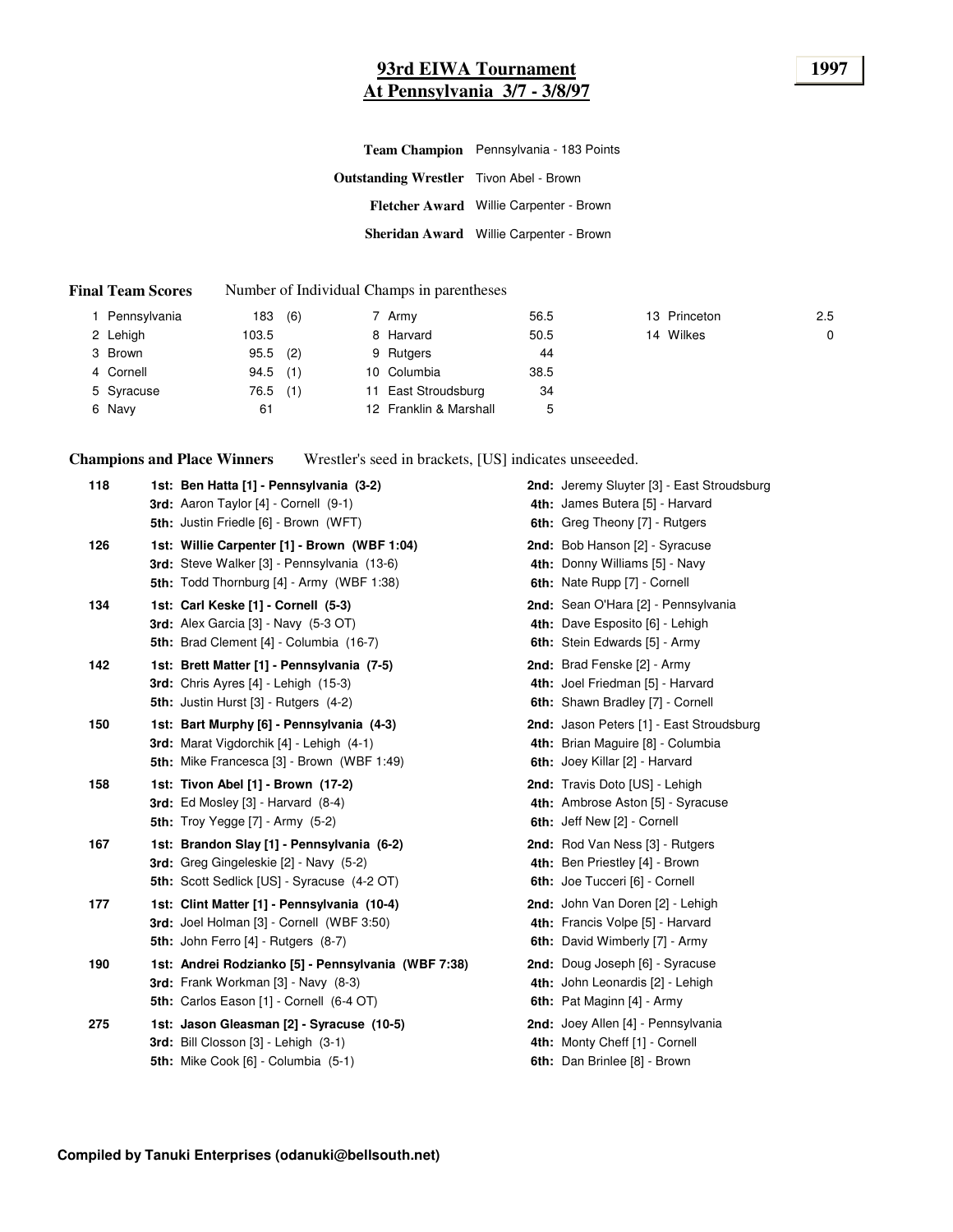### **93rd EIWA Tournament 1997 At Pennsylvania 3/7 - 3/8/97**

|                                                | Team Champion Pennsylvania - 183 Points |  |  |  |  |
|------------------------------------------------|-----------------------------------------|--|--|--|--|
| <b>Outstanding Wrestler</b> Tivon Abel - Brown |                                         |  |  |  |  |
|                                                | Fletcher Award Willie Carpenter - Brown |  |  |  |  |
|                                                | Sheridan Award Willie Carpenter - Brown |  |  |  |  |

#### **Final Team Scores** Number of Individual Champs in parentheses

| Pennsylvania | 183   | (6) | 7 Army                 | 56.5 | 13 Princeton | 2.5 |
|--------------|-------|-----|------------------------|------|--------------|-----|
| 2 Lehigh     | 103.5 |     | 8 Harvard              | 50.5 | 14 Wilkes    | 0   |
| 3 Brown      | 95.5  | (2) | 9 Rutgers              | 44   |              |     |
| 4 Cornell    | 94.5  | (1) | 10 Columbia            | 38.5 |              |     |
| 5 Syracuse   | 76.5  | (1) | 11 East Stroudsburg    | 34   |              |     |
| 6 Navy       | 61    |     | 12 Franklin & Marshall | 5    |              |     |

**Champions and Place Winners** Wrestler's seed in brackets, [US] indicates unseeeded.

| 118 | 1st: Ben Hatta [1] - Pennsylvania (3-2)             | 2nd: Jeremy Sluyter [3] - East Stroudsburg |
|-----|-----------------------------------------------------|--------------------------------------------|
|     | <b>3rd:</b> Aaron Taylor [4] - Cornell (9-1)        | 4th: James Butera [5] - Harvard            |
|     | 5th: Justin Friedle [6] - Brown (WFT)               | 6th: Greg Theony [7] - Rutgers             |
| 126 | 1st: Willie Carpenter [1] - Brown (WBF 1:04)        | 2nd: Bob Hanson [2] - Syracuse             |
|     | 3rd: Steve Walker [3] - Pennsylvania (13-6)         | 4th: Donny Williams [5] - Navy             |
|     | <b>5th:</b> Todd Thornburg [4] - Army (WBF 1:38)    | 6th: Nate Rupp [7] - Cornell               |
| 134 | 1st: Carl Keske [1] - Cornell (5-3)                 | 2nd: Sean O'Hara [2] - Pennsylvania        |
|     | <b>3rd:</b> Alex Garcia $[3]$ - Navy $(5-3$ OT)     | 4th: Dave Esposito [6] - Lehigh            |
|     | 5th: Brad Clement [4] - Columbia (16-7)             | 6th: Stein Edwards [5] - Army              |
| 142 | 1st: Brett Matter [1] - Pennsylvania (7-5)          | 2nd: Brad Fenske [2] - Army                |
|     | 3rd: Chris Ayres [4] - Lehigh (15-3)                | 4th: Joel Friedman [5] - Harvard           |
|     | <b>5th: Justin Hurst [3] - Rutgers (4-2)</b>        | 6th: Shawn Bradley [7] - Cornell           |
| 150 | 1st: Bart Murphy [6] - Pennsylvania (4-3)           | 2nd: Jason Peters [1] - East Stroudsburg   |
|     | 3rd: Marat Vigdorchik [4] - Lehigh (4-1)            | 4th: Brian Maguire [8] - Columbia          |
|     | <b>5th:</b> Mike Francesca [3] - Brown (WBF 1:49)   | 6th: Joey Killar [2] - Harvard             |
| 158 | 1st: Tivon Abel [1] - Brown (17-2)                  | 2nd: Travis Doto [US] - Lehigh             |
|     | 3rd: Ed Mosley $[3]$ - Harvard $(8-4)$              | 4th: Ambrose Aston [5] - Syracuse          |
|     | <b>5th:</b> Troy Yegge [7] - Army (5-2)             | 6th: Jeff New [2] - Cornell                |
| 167 | 1st: Brandon Slay [1] - Pennsylvania (6-2)          | 2nd: Rod Van Ness [3] - Rutgers            |
|     | 3rd: Greg Gingeleskie [2] - Navy (5-2)              | 4th: Ben Priestley [4] - Brown             |
|     | 5th: Scott Sedlick [US] - Syracuse (4-2 OT)         | 6th: Joe Tucceri [6] - Cornell             |
| 177 | 1st: Clint Matter [1] - Pennsylvania (10-4)         | 2nd: John Van Doren [2] - Lehigh           |
|     | 3rd: Joel Holman [3] - Cornell (WBF 3:50)           | 4th: Francis Volpe [5] - Harvard           |
|     | 5th: John Ferro [4] - Rutgers (8-7)                 | 6th: David Wimberly [7] - Army             |
| 190 | 1st: Andrei Rodzianko [5] - Pennsylvania (WBF 7:38) | 2nd: Doug Joseph [6] - Syracuse            |
|     | 3rd: Frank Workman [3] - Navy (8-3)                 | 4th: John Leonardis [2] - Lehigh           |
|     | 5th: Carlos Eason [1] - Cornell (6-4 OT)            | 6th: Pat Maginn [4] - Army                 |
| 275 | 1st: Jason Gleasman [2] - Syracuse (10-5)           | 2nd: Joey Allen [4] - Pennsylvania         |
|     | 3rd: Bill Closson [3] - Lehigh (3-1)                | 4th: Monty Cheff [1] - Cornell             |
|     | <b>5th:</b> Mike Cook [6] - Columbia (5-1)          | 6th: Dan Brinlee [8] - Brown               |
|     |                                                     |                                            |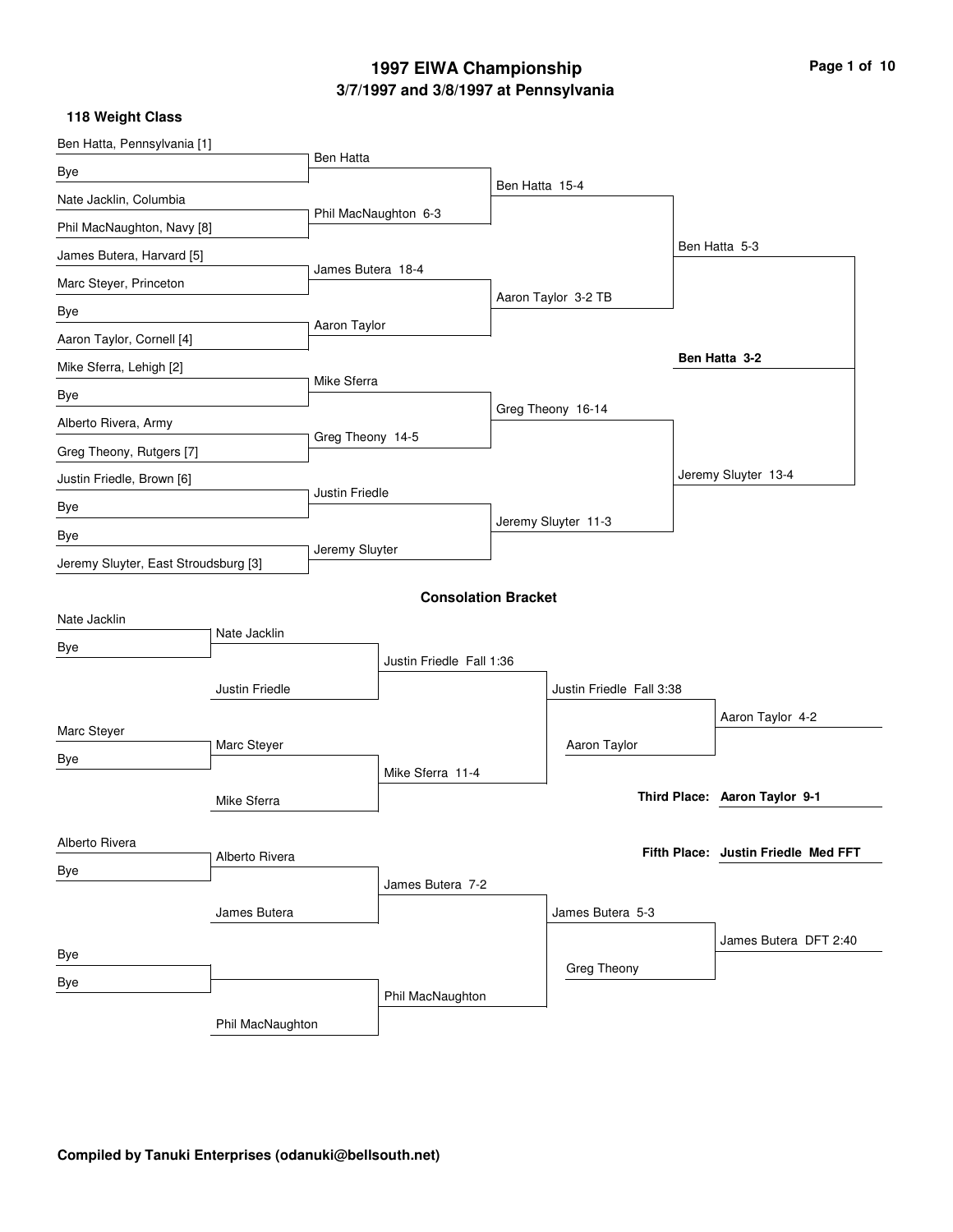# **3/7/1997 and 3/8/1997 at Pennsylvania 1997 EIWA Championship Page 1 of 10**

| Ben Hatta, Pennsylvania [1]          |                  |                   |                            |                |                          |                                     |
|--------------------------------------|------------------|-------------------|----------------------------|----------------|--------------------------|-------------------------------------|
| Bye                                  |                  | Ben Hatta         |                            |                |                          |                                     |
| Nate Jacklin, Columbia               |                  |                   |                            | Ben Hatta 15-4 |                          |                                     |
| Phil MacNaughton, Navy [8]           |                  |                   | Phil MacNaughton 6-3       |                |                          |                                     |
| James Butera, Harvard [5]            |                  |                   |                            |                |                          | Ben Hatta 5-3                       |
| Marc Steyer, Princeton               |                  | James Butera 18-4 |                            |                |                          |                                     |
| Bye                                  |                  |                   |                            |                | Aaron Taylor 3-2 TB      |                                     |
| Aaron Taylor, Cornell [4]            |                  | Aaron Taylor      |                            |                |                          |                                     |
| Mike Sferra, Lehigh [2]              |                  |                   |                            |                |                          | Ben Hatta 3-2                       |
| Bye                                  |                  | Mike Sferra       |                            |                |                          |                                     |
| Alberto Rivera, Army                 |                  |                   |                            |                | Greg Theony 16-14        |                                     |
| Greg Theony, Rutgers [7]             |                  | Greg Theony 14-5  |                            |                |                          |                                     |
| Justin Friedle, Brown [6]            |                  |                   |                            |                |                          | Jeremy Sluyter 13-4                 |
| Bye                                  |                  | Justin Friedle    |                            |                |                          |                                     |
| Bye                                  |                  |                   |                            |                | Jeremy Sluyter 11-3      |                                     |
| Jeremy Sluyter, East Stroudsburg [3] |                  | Jeremy Sluyter    |                            |                |                          |                                     |
|                                      |                  |                   | <b>Consolation Bracket</b> |                |                          |                                     |
| Nate Jacklin                         |                  |                   |                            |                |                          |                                     |
| Bye                                  | Nate Jacklin     |                   |                            |                |                          |                                     |
|                                      |                  |                   | Justin Friedle Fall 1:36   |                |                          |                                     |
|                                      | Justin Friedle   |                   |                            |                | Justin Friedle Fall 3:38 |                                     |
| Marc Steyer                          |                  |                   |                            |                |                          | Aaron Taylor 4-2                    |
| <b>Bye</b>                           | Marc Steyer      |                   |                            |                | Aaron Taylor             |                                     |
|                                      |                  |                   | Mike Sferra 11-4           |                |                          | Third Place: Aaron Taylor 9-1       |
|                                      | Mike Sferra      |                   |                            |                |                          |                                     |
| Alberto Rivera                       |                  |                   |                            |                |                          | Fifth Place: Justin Friedle Med FFT |
| Bye                                  | Alberto Rivera   |                   |                            |                |                          |                                     |
|                                      |                  |                   | James Butera 7-2           |                |                          |                                     |
|                                      | James Butera     |                   |                            |                | James Butera 5-3         |                                     |
| Bye                                  |                  |                   |                            |                |                          | James Butera DFT 2:40               |
| Bye                                  |                  |                   |                            |                | Greg Theony              |                                     |
|                                      |                  |                   | Phil MacNaughton           |                |                          |                                     |
|                                      | Phil MacNaughton |                   |                            |                |                          |                                     |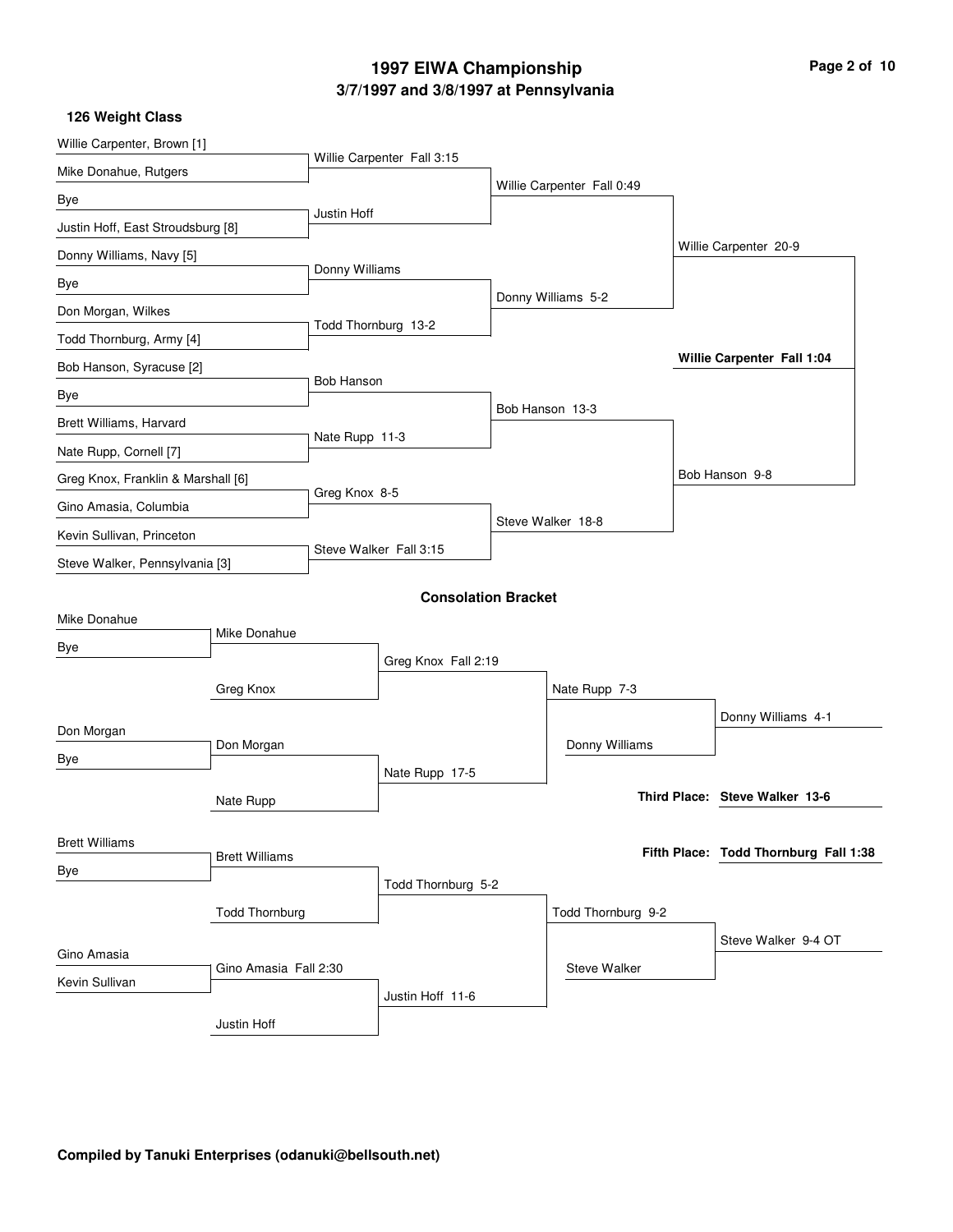# **3/7/1997 and 3/8/1997 at Pennsylvania 1997 EIWA Championship Page 2 of 10**

| Willie Carpenter, Brown [1]        |                       |                     |                            |                    |                            |  |                                       |
|------------------------------------|-----------------------|---------------------|----------------------------|--------------------|----------------------------|--|---------------------------------------|
| Mike Donahue, Rutgers              |                       |                     | Willie Carpenter Fall 3:15 |                    |                            |  |                                       |
| Bye                                |                       |                     |                            |                    | Willie Carpenter Fall 0:49 |  |                                       |
| Justin Hoff, East Stroudsburg [8]  |                       | Justin Hoff         |                            |                    |                            |  |                                       |
| Donny Williams, Navy [5]           |                       |                     |                            |                    |                            |  | Willie Carpenter 20-9                 |
| Bye                                |                       | Donny Williams      |                            |                    |                            |  |                                       |
| Don Morgan, Wilkes                 |                       |                     |                            |                    | Donny Williams 5-2         |  |                                       |
| Todd Thornburg, Army [4]           |                       | Todd Thornburg 13-2 |                            |                    |                            |  |                                       |
| Bob Hanson, Syracuse [2]           |                       |                     |                            |                    |                            |  | Willie Carpenter Fall 1:04            |
| Bye                                |                       | <b>Bob Hanson</b>   |                            |                    |                            |  |                                       |
| Brett Williams, Harvard            |                       |                     |                            |                    | Bob Hanson 13-3            |  |                                       |
| Nate Rupp, Cornell [7]             |                       | Nate Rupp 11-3      |                            |                    |                            |  |                                       |
| Greg Knox, Franklin & Marshall [6] |                       |                     |                            |                    |                            |  | Bob Hanson 9-8                        |
| Gino Amasia, Columbia              |                       | Greg Knox 8-5       |                            |                    |                            |  |                                       |
| Kevin Sullivan, Princeton          |                       |                     |                            |                    | Steve Walker 18-8          |  |                                       |
| Steve Walker, Pennsylvania [3]     |                       |                     | Steve Walker Fall 3:15     |                    |                            |  |                                       |
|                                    |                       |                     | <b>Consolation Bracket</b> |                    |                            |  |                                       |
| Mike Donahue                       |                       |                     |                            |                    |                            |  |                                       |
| Bye                                | Mike Donahue          |                     |                            |                    |                            |  |                                       |
|                                    |                       | Greg Knox Fall 2:19 |                            |                    |                            |  |                                       |
|                                    | Greg Knox             |                     |                            |                    | Nate Rupp 7-3              |  |                                       |
| Don Morgan                         |                       |                     |                            |                    |                            |  | Donny Williams 4-1                    |
| Bye                                | Don Morgan            |                     |                            |                    | Donny Williams             |  |                                       |
|                                    |                       |                     | Nate Rupp 17-5             |                    |                            |  | Third Place: Steve Walker 13-6        |
|                                    | Nate Rupp             |                     |                            |                    |                            |  |                                       |
| <b>Brett Williams</b>              |                       |                     |                            |                    |                            |  | Fifth Place: Todd Thornburg Fall 1:38 |
| Bye                                | <b>Brett Williams</b> |                     |                            |                    |                            |  |                                       |
|                                    |                       | Todd Thornburg 5-2  |                            |                    |                            |  |                                       |
|                                    | <b>Todd Thornburg</b> |                     |                            | Todd Thornburg 9-2 |                            |  |                                       |
| Gino Amasia                        |                       |                     |                            |                    |                            |  | Steve Walker 9-4 OT                   |
| Kevin Sullivan                     | Gino Amasia Fall 2:30 |                     |                            |                    | <b>Steve Walker</b>        |  |                                       |
|                                    |                       |                     | Justin Hoff 11-6           |                    |                            |  |                                       |
|                                    | Justin Hoff           |                     |                            |                    |                            |  |                                       |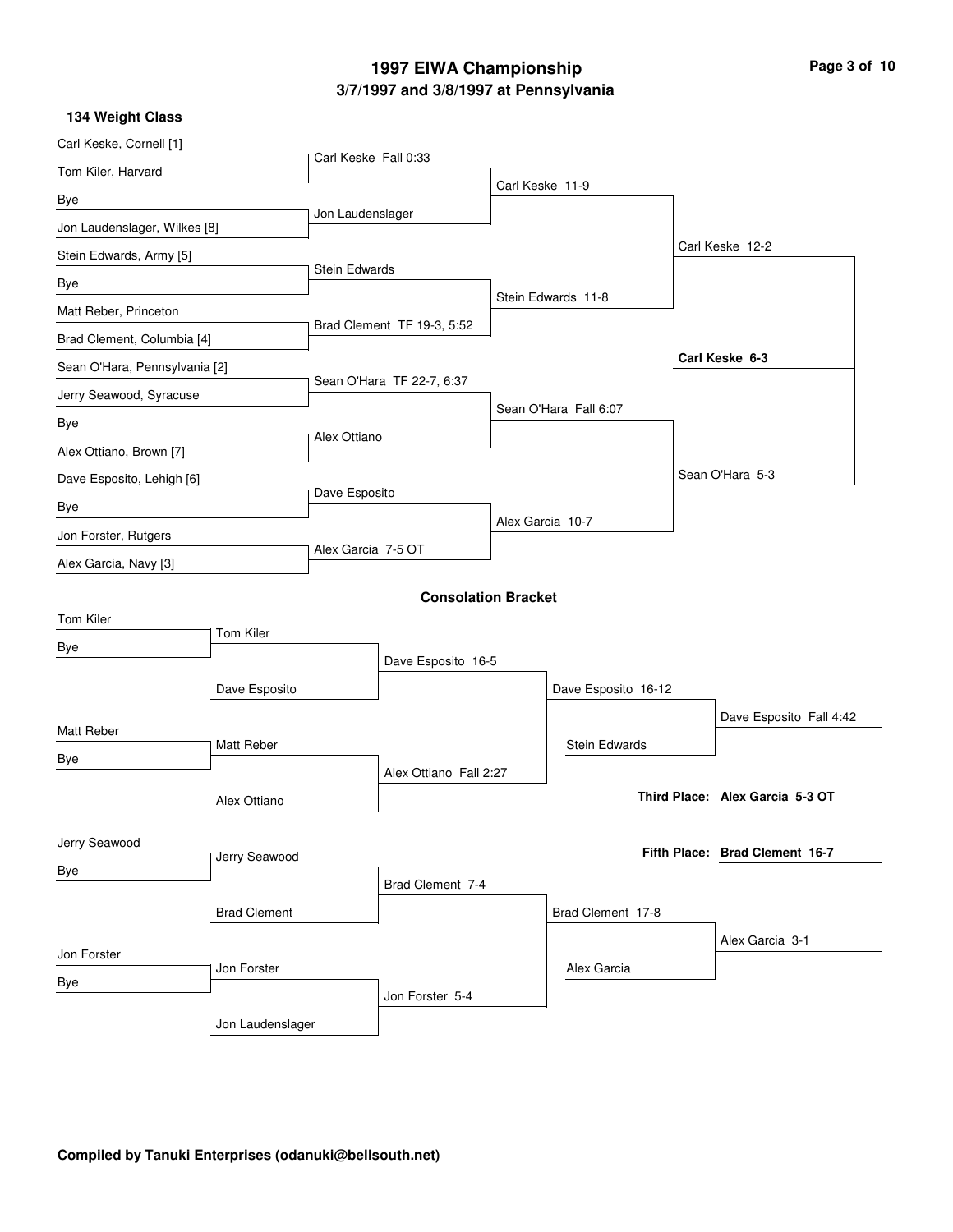# **3/7/1997 and 3/8/1997 at Pennsylvania 1997 EIWA Championship Page 3 of 10**

| 134 Weight Class              |                     |                            |                            |                  |                       |                                 |
|-------------------------------|---------------------|----------------------------|----------------------------|------------------|-----------------------|---------------------------------|
| Carl Keske, Cornell [1]       |                     |                            |                            |                  |                       |                                 |
| Tom Kiler, Harvard            |                     | Carl Keske Fall 0:33       |                            |                  |                       |                                 |
| Bye                           |                     |                            |                            | Carl Keske 11-9  |                       |                                 |
| Jon Laudenslager, Wilkes [8]  |                     | Jon Laudenslager           |                            |                  |                       |                                 |
| Stein Edwards, Army [5]       |                     |                            |                            |                  |                       | Carl Keske 12-2                 |
| Bye                           |                     | <b>Stein Edwards</b>       |                            |                  |                       |                                 |
| Matt Reber, Princeton         |                     |                            |                            |                  | Stein Edwards 11-8    |                                 |
| Brad Clement, Columbia [4]    |                     | Brad Clement TF 19-3, 5:52 |                            |                  |                       |                                 |
| Sean O'Hara, Pennsylvania [2] |                     |                            |                            |                  |                       | Carl Keske 6-3                  |
| Jerry Seawood, Syracuse       |                     |                            | Sean O'Hara TF 22-7, 6:37  |                  |                       |                                 |
| Bye                           |                     |                            |                            |                  | Sean O'Hara Fall 6:07 |                                 |
| Alex Ottiano, Brown [7]       |                     | Alex Ottiano               |                            |                  |                       |                                 |
| Dave Esposito, Lehigh [6]     |                     |                            |                            |                  |                       | Sean O'Hara 5-3                 |
| Bye                           |                     | Dave Esposito              |                            |                  |                       |                                 |
| Jon Forster, Rutgers          |                     |                            |                            | Alex Garcia 10-7 |                       |                                 |
| Alex Garcia, Navy [3]         |                     | Alex Garcia 7-5 OT         |                            |                  |                       |                                 |
|                               |                     |                            | <b>Consolation Bracket</b> |                  |                       |                                 |
| Tom Kiler                     |                     |                            |                            |                  |                       |                                 |
| Bye                           | Tom Kiler           |                            |                            |                  |                       |                                 |
|                               |                     |                            | Dave Esposito 16-5         |                  |                       |                                 |
|                               | Dave Esposito       |                            |                            |                  | Dave Esposito 16-12   |                                 |
| Matt Reber                    |                     |                            |                            |                  |                       | Dave Esposito Fall 4:42         |
| Bye                           | Matt Reber          |                            |                            |                  | <b>Stein Edwards</b>  |                                 |
|                               |                     |                            | Alex Ottiano Fall 2:27     |                  |                       |                                 |
|                               | Alex Ottiano        |                            |                            |                  |                       | Third Place: Alex Garcia 5-3 OT |
| Jerry Seawood                 |                     |                            |                            |                  |                       |                                 |
| Bye                           | Jerry Seawood       |                            |                            |                  |                       | Fifth Place: Brad Clement 16-7  |
|                               |                     |                            | Brad Clement 7-4           |                  |                       |                                 |
|                               | <b>Brad Clement</b> |                            |                            |                  | Brad Clement 17-8     |                                 |
| Jon Forster                   |                     |                            |                            |                  |                       | Alex Garcia 3-1                 |
| Bye                           | Jon Forster         |                            |                            |                  | Alex Garcia           |                                 |
|                               |                     |                            | Jon Forster 5-4            |                  |                       |                                 |
|                               | Jon Laudenslager    |                            |                            |                  |                       |                                 |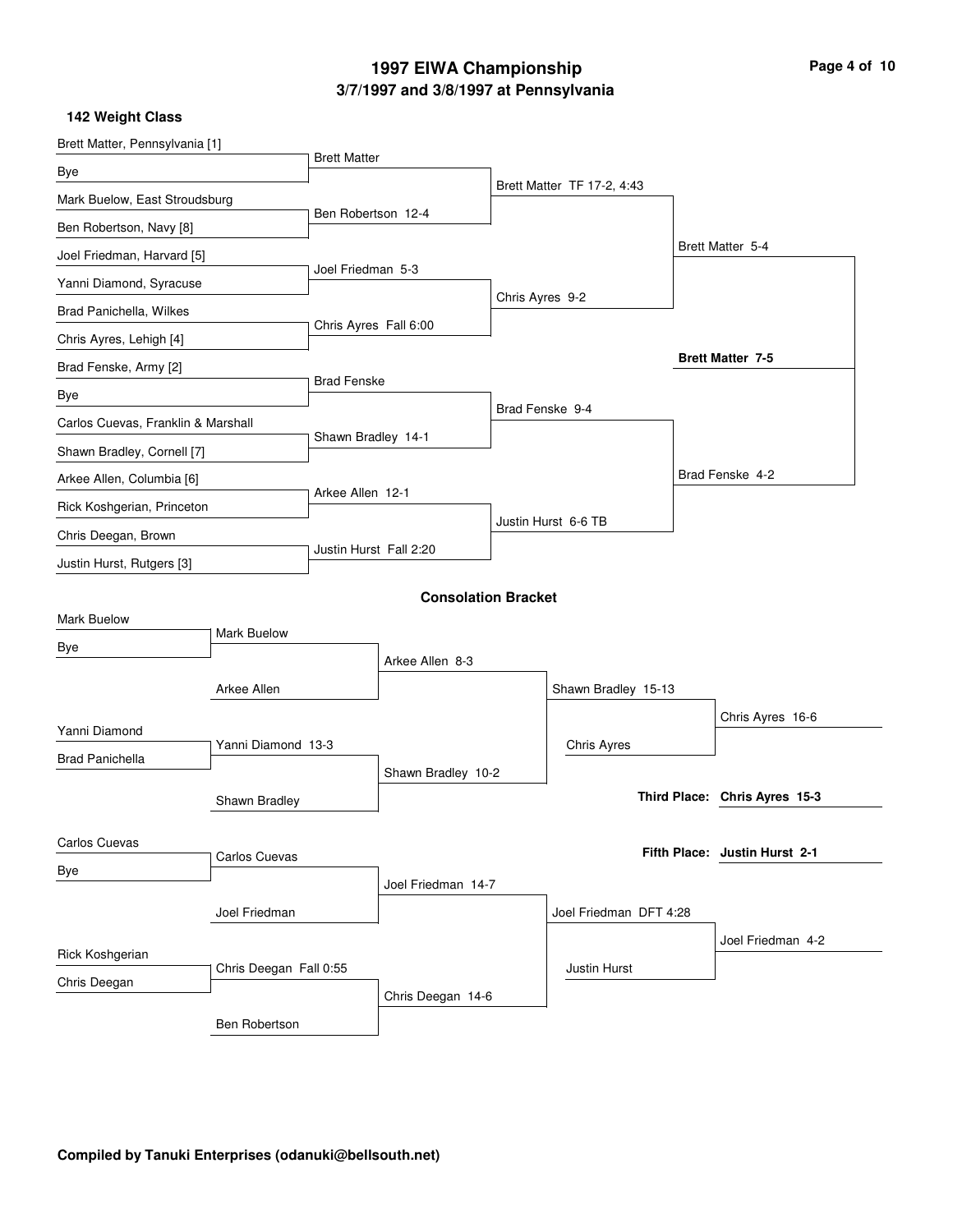# **3/7/1997 and 3/8/1997 at Pennsylvania 1997 EIWA Championship Page 4 of 10**

| Brett Matter, Pennsylvania [1]                   |                        |                        |                            |                 |                            |                               |  |
|--------------------------------------------------|------------------------|------------------------|----------------------------|-----------------|----------------------------|-------------------------------|--|
| Bye                                              |                        | <b>Brett Matter</b>    |                            |                 |                            |                               |  |
| Mark Buelow, East Stroudsburg                    |                        |                        |                            |                 | Brett Matter TF 17-2, 4:43 |                               |  |
| Ben Robertson, Navy [8]                          |                        | Ben Robertson 12-4     |                            |                 |                            |                               |  |
| Joel Friedman, Harvard [5]                       |                        |                        |                            |                 |                            | Brett Matter 5-4              |  |
| Yanni Diamond, Syracuse                          |                        | Joel Friedman 5-3      |                            |                 |                            |                               |  |
| Brad Panichella, Wilkes                          |                        |                        |                            | Chris Ayres 9-2 |                            |                               |  |
| Chris Ayres, Lehigh [4]                          |                        | Chris Ayres Fall 6:00  |                            |                 |                            |                               |  |
| Brad Fenske, Army [2]                            |                        |                        |                            |                 |                            | <b>Brett Matter 7-5</b>       |  |
| Bye                                              |                        | <b>Brad Fenske</b>     |                            |                 |                            |                               |  |
| Carlos Cuevas, Franklin & Marshall               |                        |                        |                            | Brad Fenske 9-4 |                            |                               |  |
| Shawn Bradley, Cornell [7]                       |                        | Shawn Bradley 14-1     |                            |                 |                            |                               |  |
| Arkee Allen, Columbia [6]                        |                        |                        |                            |                 |                            | Brad Fenske 4-2               |  |
| Rick Koshgerian, Princeton                       |                        | Arkee Allen 12-1       |                            |                 |                            |                               |  |
|                                                  |                        |                        |                            |                 | Justin Hurst 6-6 TB        |                               |  |
| Chris Deegan, Brown<br>Justin Hurst, Rutgers [3] |                        | Justin Hurst Fall 2:20 |                            |                 |                            |                               |  |
|                                                  |                        |                        |                            |                 |                            |                               |  |
| <b>Mark Buelow</b>                               |                        |                        | <b>Consolation Bracket</b> |                 |                            |                               |  |
|                                                  | Mark Buelow            |                        |                            |                 |                            |                               |  |
| Bye                                              |                        |                        | Arkee Allen 8-3            |                 |                            |                               |  |
|                                                  | Arkee Allen            |                        |                            |                 | Shawn Bradley 15-13        |                               |  |
| Yanni Diamond                                    |                        |                        |                            |                 |                            | Chris Ayres 16-6              |  |
| <b>Brad Panichella</b>                           | Yanni Diamond 13-3     |                        |                            |                 | <b>Chris Ayres</b>         |                               |  |
|                                                  |                        |                        | Shawn Bradley 10-2         |                 |                            |                               |  |
|                                                  | Shawn Bradley          |                        |                            |                 |                            | Third Place: Chris Ayres 15-3 |  |
| <b>Carlos Cuevas</b>                             |                        |                        |                            |                 |                            |                               |  |
| Bye                                              | Carlos Cuevas          |                        |                            |                 |                            | Fifth Place: Justin Hurst 2-1 |  |
|                                                  |                        |                        | Joel Friedman 14-7         |                 |                            |                               |  |
|                                                  | Joel Friedman          |                        |                            |                 | Joel Friedman DFT 4:28     |                               |  |
|                                                  |                        |                        |                            |                 |                            | Joel Friedman 4-2             |  |
| Rick Koshgerian                                  | Chris Deegan Fall 0:55 |                        |                            |                 | Justin Hurst               |                               |  |
| Chris Deegan                                     |                        |                        | Chris Deegan 14-6          |                 |                            |                               |  |
|                                                  | Ben Robertson          |                        |                            |                 |                            |                               |  |
|                                                  |                        |                        |                            |                 |                            |                               |  |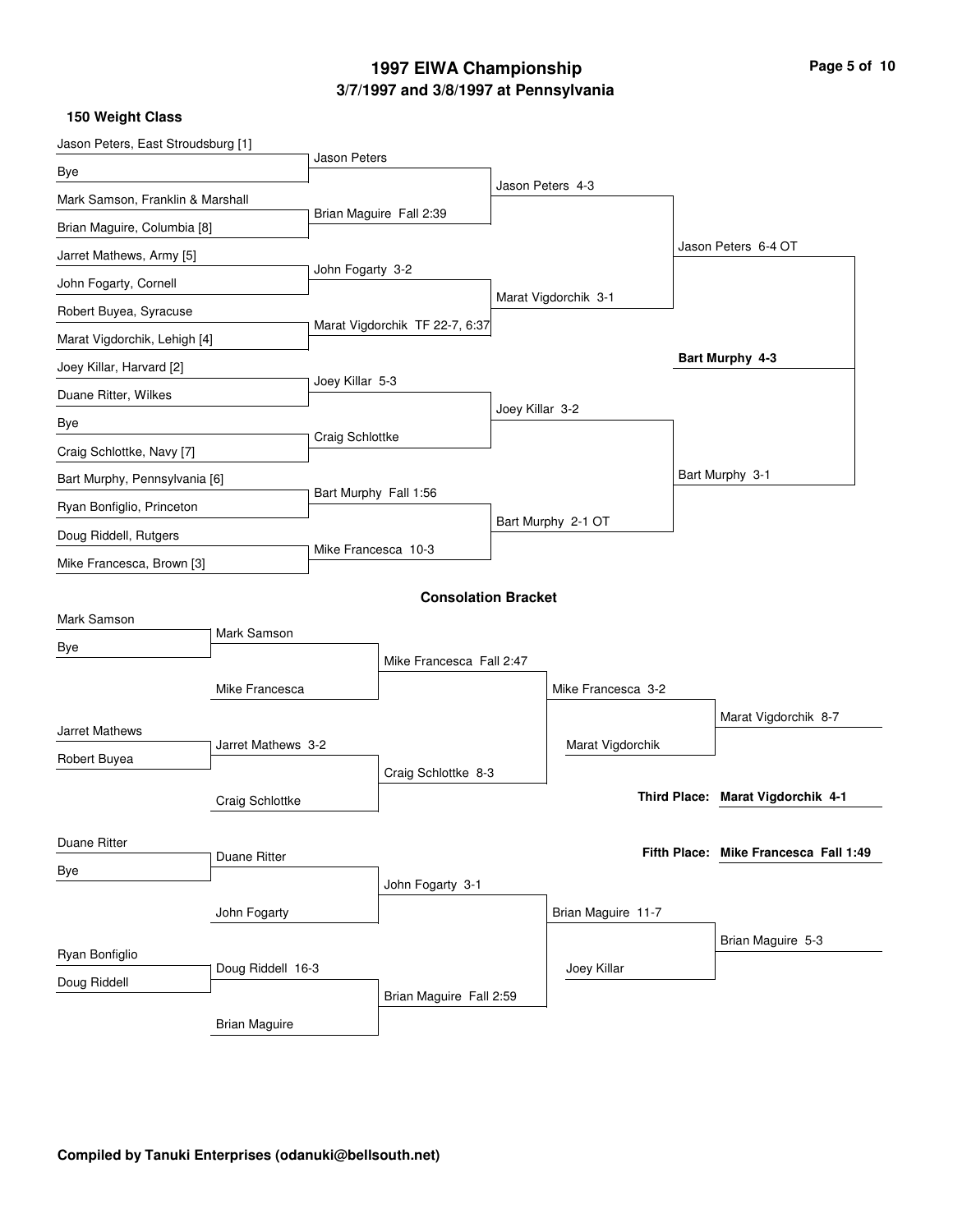# **3/7/1997 and 3/8/1997 at Pennsylvania 1997 EIWA Championship Page 5 of 10**

| Jason Peters, East Stroudsburg [1] |                      |                          |                                |                 |                      |                                       |
|------------------------------------|----------------------|--------------------------|--------------------------------|-----------------|----------------------|---------------------------------------|
| Bye                                |                      | <b>Jason Peters</b>      |                                |                 |                      |                                       |
| Mark Samson, Franklin & Marshall   |                      |                          |                                |                 | Jason Peters 4-3     |                                       |
| Brian Maguire, Columbia [8]        |                      |                          | Brian Maguire Fall 2:39        |                 |                      |                                       |
| Jarret Mathews, Army [5]           |                      |                          |                                |                 |                      | Jason Peters 6-4 OT                   |
| John Fogarty, Cornell              |                      | John Fogarty 3-2         |                                |                 |                      |                                       |
| Robert Buyea, Syracuse             |                      |                          |                                |                 | Marat Vigdorchik 3-1 |                                       |
| Marat Vigdorchik, Lehigh [4]       |                      |                          | Marat Vigdorchik TF 22-7, 6:37 |                 |                      |                                       |
| Joey Killar, Harvard [2]           |                      |                          |                                |                 |                      | Bart Murphy 4-3                       |
| Duane Ritter, Wilkes               |                      | Joey Killar 5-3          |                                |                 |                      |                                       |
| Bye                                |                      |                          |                                | Joey Killar 3-2 |                      |                                       |
| Craig Schlottke, Navy [7]          |                      | Craig Schlottke          |                                |                 |                      |                                       |
| Bart Murphy, Pennsylvania [6]      |                      |                          |                                |                 |                      | Bart Murphy 3-1                       |
| Ryan Bonfiglio, Princeton          |                      | Bart Murphy Fall 1:56    |                                |                 |                      |                                       |
| Doug Riddell, Rutgers              |                      |                          |                                |                 | Bart Murphy 2-1 OT   |                                       |
| Mike Francesca, Brown [3]          |                      | Mike Francesca 10-3      |                                |                 |                      |                                       |
|                                    |                      |                          |                                |                 |                      |                                       |
| Mark Samson                        |                      |                          | <b>Consolation Bracket</b>     |                 |                      |                                       |
| Bye                                | Mark Samson          |                          |                                |                 |                      |                                       |
|                                    |                      | Mike Francesca Fall 2:47 |                                |                 |                      |                                       |
|                                    | Mike Francesca       |                          |                                |                 | Mike Francesca 3-2   |                                       |
| Jarret Mathews                     |                      |                          |                                |                 |                      | Marat Vigdorchik 8-7                  |
| Robert Buyea                       | Jarret Mathews 3-2   |                          |                                |                 | Marat Vigdorchik     |                                       |
|                                    |                      |                          | Craig Schlottke 8-3            |                 |                      |                                       |
|                                    | Craig Schlottke      |                          |                                |                 |                      | Third Place: Marat Vigdorchik 4-1     |
| Duane Ritter                       |                      |                          |                                |                 |                      |                                       |
| Bye                                | Duane Ritter         |                          |                                |                 |                      | Fifth Place: Mike Francesca Fall 1:49 |
|                                    |                      |                          | John Fogarty 3-1               |                 |                      |                                       |
|                                    | John Fogarty         |                          |                                |                 | Brian Maguire 11-7   |                                       |
| Ryan Bonfiglio                     |                      |                          |                                |                 |                      | Brian Maguire 5-3                     |
| Doug Riddell                       | Doug Riddell 16-3    |                          |                                |                 | Joey Killar          |                                       |
|                                    |                      |                          | Brian Maguire Fall 2:59        |                 |                      |                                       |
|                                    | <b>Brian Maguire</b> |                          |                                |                 |                      |                                       |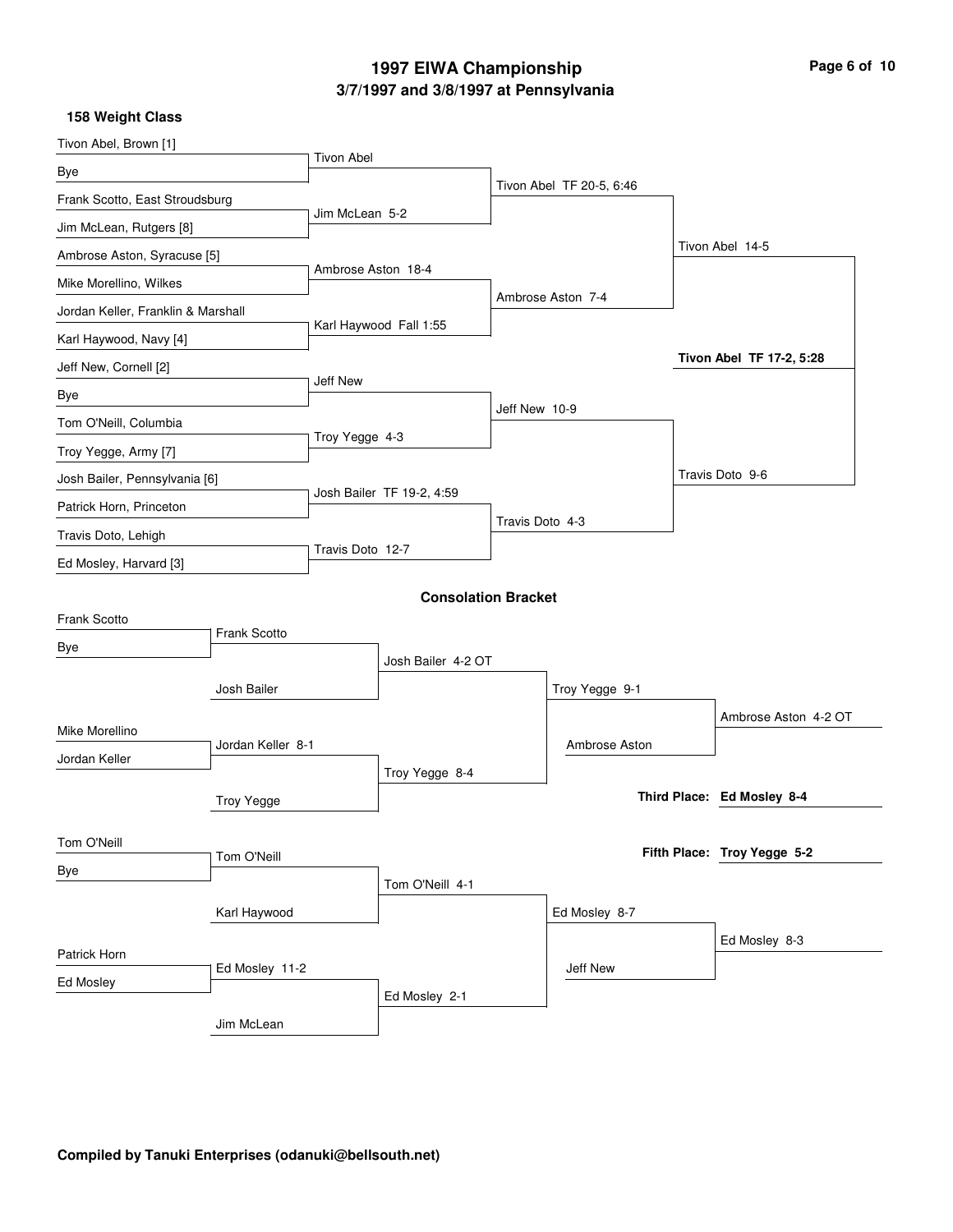# **3/7/1997 and 3/8/1997 at Pennsylvania 1997 EIWA Championship Page 6 of 10**

| Tivon Abel, Brown [1]              |                     |                    |                            |                 |                          |                             |
|------------------------------------|---------------------|--------------------|----------------------------|-----------------|--------------------------|-----------------------------|
| Bye                                |                     | <b>Tivon Abel</b>  |                            |                 |                          |                             |
| Frank Scotto, East Stroudsburg     |                     |                    |                            |                 | Tivon Abel TF 20-5, 6:46 |                             |
| Jim McLean, Rutgers [8]            |                     | Jim McLean 5-2     |                            |                 |                          |                             |
| Ambrose Aston, Syracuse [5]        |                     |                    |                            |                 |                          | Tivon Abel 14-5             |
| Mike Morellino, Wilkes             |                     | Ambrose Aston 18-4 |                            |                 |                          |                             |
| Jordan Keller, Franklin & Marshall |                     |                    |                            |                 | Ambrose Aston 7-4        |                             |
| Karl Haywood, Navy [4]             |                     |                    | Karl Haywood Fall 1:55     |                 |                          |                             |
| Jeff New, Cornell [2]              |                     |                    |                            |                 |                          | Tivon Abel TF 17-2, 5:28    |
| Bye                                |                     | Jeff New           |                            |                 |                          |                             |
| Tom O'Neill, Columbia              |                     |                    |                            | Jeff New 10-9   |                          |                             |
| Troy Yegge, Army [7]               |                     | Troy Yegge 4-3     |                            |                 |                          |                             |
| Josh Bailer, Pennsylvania [6]      |                     |                    |                            |                 |                          | Travis Doto 9-6             |
| Patrick Horn, Princeton            |                     |                    | Josh Bailer TF 19-2, 4:59  |                 |                          |                             |
| Travis Doto, Lehigh                |                     |                    |                            | Travis Doto 4-3 |                          |                             |
| Ed Mosley, Harvard [3]             |                     | Travis Doto 12-7   |                            |                 |                          |                             |
|                                    |                     |                    |                            |                 |                          |                             |
| Frank Scotto                       |                     |                    | <b>Consolation Bracket</b> |                 |                          |                             |
| Bye                                | <b>Frank Scotto</b> |                    |                            |                 |                          |                             |
|                                    |                     |                    | Josh Bailer 4-2 OT         |                 |                          |                             |
|                                    | Josh Bailer         |                    |                            |                 | Troy Yegge 9-1           |                             |
| Mike Morellino                     |                     |                    |                            |                 |                          | Ambrose Aston 4-2 OT        |
| Jordan Keller                      | Jordan Keller 8-1   |                    |                            |                 | Ambrose Aston            |                             |
|                                    |                     |                    | Troy Yegge 8-4             |                 |                          |                             |
|                                    | <b>Troy Yegge</b>   |                    |                            |                 |                          | Third Place: Ed Mosley 8-4  |
| Tom O'Neill                        |                     |                    |                            |                 |                          |                             |
|                                    | Tom O'Neill         |                    |                            |                 |                          | Fifth Place: Troy Yegge 5-2 |
| Bye                                |                     |                    | Tom O'Neill 4-1            |                 |                          |                             |
|                                    | Karl Haywood        |                    |                            |                 | Ed Mosley 8-7            |                             |
|                                    |                     |                    |                            |                 |                          | Ed Mosley 8-3               |
| Patrick Horn                       | Ed Mosley 11-2      |                    |                            |                 | Jeff New                 |                             |
| Ed Mosley                          |                     |                    | Ed Mosley 2-1              |                 |                          |                             |
|                                    | Jim McLean          |                    |                            |                 |                          |                             |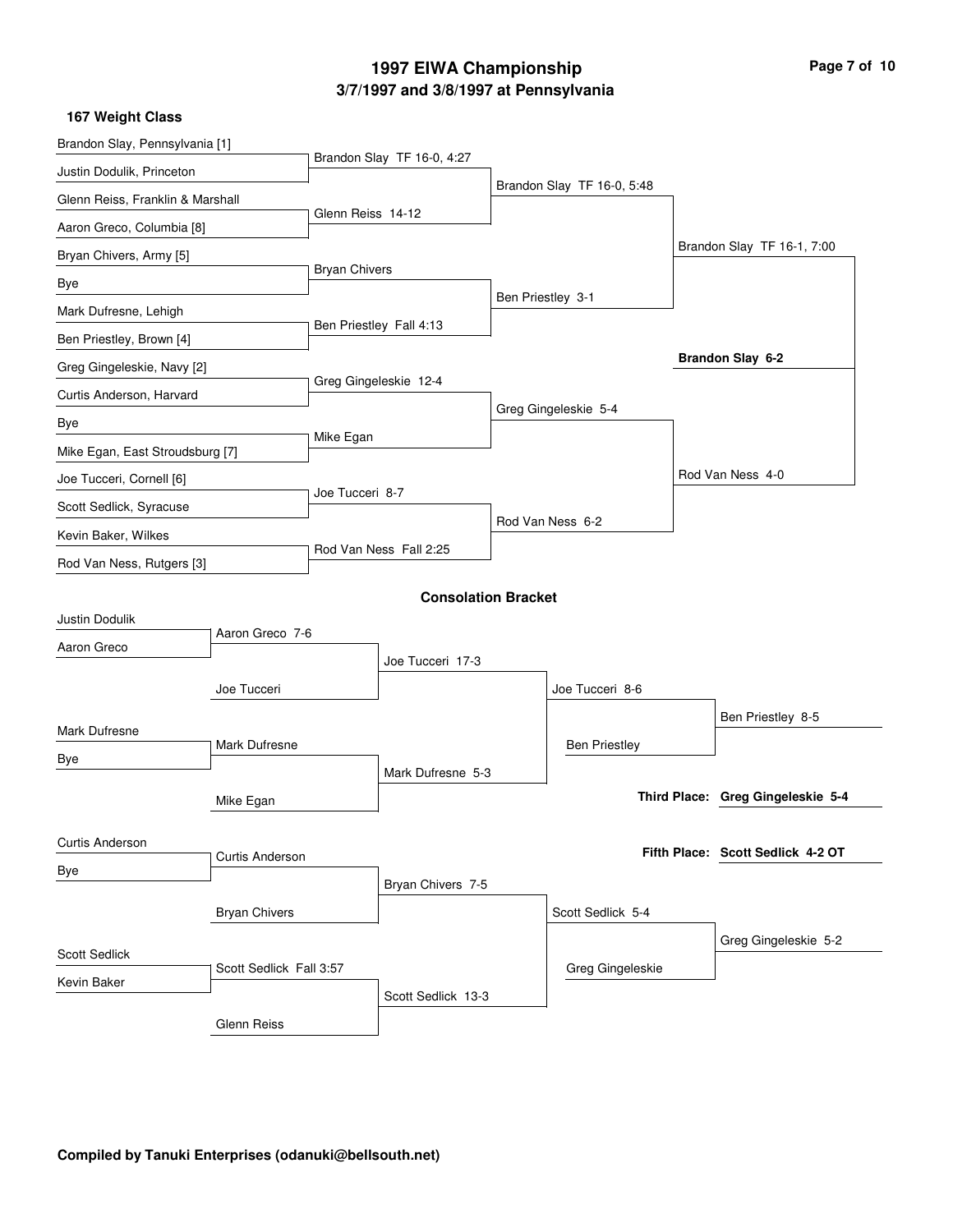# **3/7/1997 and 3/8/1997 at Pennsylvania 1997 EIWA Championship Page 7 of 10**

| Brandon Slay, Pennsylvania [1]   |                         |                      |                            |                   |                            |                                   |
|----------------------------------|-------------------------|----------------------|----------------------------|-------------------|----------------------------|-----------------------------------|
| Justin Dodulik, Princeton        |                         |                      | Brandon Slay TF 16-0, 4:27 |                   |                            |                                   |
| Glenn Reiss, Franklin & Marshall |                         |                      |                            |                   | Brandon Slay TF 16-0, 5:48 |                                   |
| Aaron Greco, Columbia [8]        |                         | Glenn Reiss 14-12    |                            |                   |                            |                                   |
| Bryan Chivers, Army [5]          |                         |                      |                            |                   |                            | Brandon Slay TF 16-1, 7:00        |
| Bye                              |                         | <b>Bryan Chivers</b> |                            |                   |                            |                                   |
| Mark Dufresne, Lehigh            |                         |                      |                            | Ben Priestley 3-1 |                            |                                   |
| Ben Priestley, Brown [4]         |                         |                      | Ben Priestley Fall 4:13    |                   |                            |                                   |
| Greg Gingeleskie, Navy [2]       |                         |                      |                            |                   |                            | Brandon Slay 6-2                  |
| Curtis Anderson, Harvard         |                         |                      | Greg Gingeleskie 12-4      |                   |                            |                                   |
| Bye                              |                         |                      |                            |                   | Greg Gingeleskie 5-4       |                                   |
| Mike Egan, East Stroudsburg [7]  |                         | Mike Egan            |                            |                   |                            |                                   |
| Joe Tucceri, Cornell [6]         |                         |                      |                            |                   |                            | Rod Van Ness 4-0                  |
| Scott Sedlick, Syracuse          |                         | Joe Tucceri 8-7      |                            |                   |                            |                                   |
| Kevin Baker, Wilkes              |                         |                      |                            |                   | Rod Van Ness 6-2           |                                   |
| Rod Van Ness, Rutgers [3]        |                         |                      | Rod Van Ness Fall 2:25     |                   |                            |                                   |
|                                  |                         |                      | <b>Consolation Bracket</b> |                   |                            |                                   |
| Justin Dodulik                   |                         |                      |                            |                   |                            |                                   |
| Aaron Greco                      | Aaron Greco 7-6         |                      |                            |                   |                            |                                   |
|                                  |                         |                      | Joe Tucceri 17-3           |                   |                            |                                   |
|                                  | Joe Tucceri             |                      |                            |                   | Joe Tucceri 8-6            |                                   |
| Mark Dufresne                    |                         |                      |                            |                   |                            | Ben Priestley 8-5                 |
| Bye                              | Mark Dufresne           |                      |                            |                   | <b>Ben Priestley</b>       |                                   |
|                                  |                         |                      | Mark Dufresne 5-3          |                   |                            |                                   |
|                                  | Mike Egan               |                      |                            |                   |                            | Third Place: Greg Gingeleskie 5-4 |
| <b>Curtis Anderson</b>           |                         |                      |                            |                   |                            |                                   |
| Bye                              | <b>Curtis Anderson</b>  |                      |                            |                   |                            | Fifth Place: Scott Sedlick 4-2 OT |
|                                  |                         |                      | Bryan Chivers 7-5          |                   |                            |                                   |
| <b>Bryan Chivers</b>             |                         |                      |                            |                   | Scott Sedlick 5-4          |                                   |
| <b>Scott Sedlick</b>             |                         |                      |                            |                   |                            | Greg Gingeleskie 5-2              |
| Kevin Baker                      | Scott Sedlick Fall 3:57 |                      |                            |                   | Greg Gingeleskie           |                                   |
|                                  |                         |                      | Scott Sedlick 13-3         |                   |                            |                                   |
|                                  | Glenn Reiss             |                      |                            |                   |                            |                                   |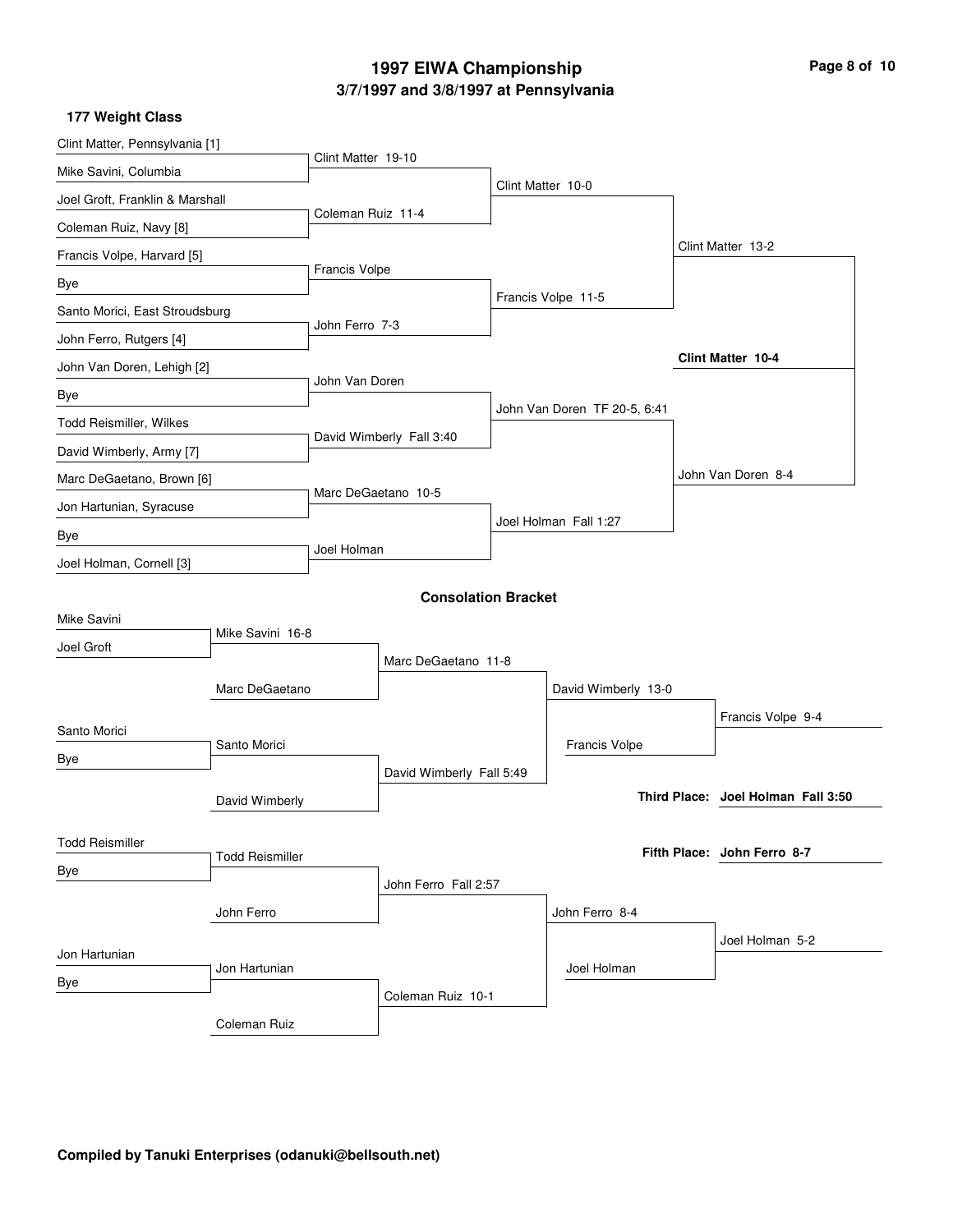# **3/7/1997 and 3/8/1997 at Pennsylvania 1997 EIWA Championship Page 8 of 10**

| Clint Matter, Pennsylvania [1]  |                        |                     |                          |                   |                              |  |                                    |  |
|---------------------------------|------------------------|---------------------|--------------------------|-------------------|------------------------------|--|------------------------------------|--|
| Mike Savini, Columbia           |                        | Clint Matter 19-10  |                          |                   |                              |  |                                    |  |
| Joel Groft, Franklin & Marshall |                        |                     |                          | Clint Matter 10-0 |                              |  |                                    |  |
| Coleman Ruiz, Navy [8]          |                        | Coleman Ruiz 11-4   |                          |                   |                              |  |                                    |  |
| Francis Volpe, Harvard [5]      |                        |                     |                          |                   |                              |  | Clint Matter 13-2                  |  |
| Bye                             |                        | Francis Volpe       |                          |                   |                              |  |                                    |  |
| Santo Morici, East Stroudsburg  |                        |                     |                          |                   | Francis Volpe 11-5           |  |                                    |  |
| John Ferro, Rutgers [4]         |                        | John Ferro 7-3      |                          |                   |                              |  |                                    |  |
| John Van Doren, Lehigh [2]      |                        |                     |                          |                   |                              |  | <b>Clint Matter 10-4</b>           |  |
| Bye                             |                        | John Van Doren      |                          |                   |                              |  |                                    |  |
| Todd Reismiller, Wilkes         |                        |                     |                          |                   | John Van Doren TF 20-5, 6:41 |  |                                    |  |
| David Wimberly, Army [7]        |                        |                     | David Wimberly Fall 3:40 |                   |                              |  |                                    |  |
| Marc DeGaetano, Brown [6]       |                        |                     |                          |                   |                              |  | John Van Doren 8-4                 |  |
| Jon Hartunian, Syracuse         |                        | Marc DeGaetano 10-5 |                          |                   |                              |  |                                    |  |
| Bye                             |                        |                     |                          |                   | Joel Holman Fall 1:27        |  |                                    |  |
| Joel Holman, Cornell [3]        |                        | Joel Holman         |                          |                   |                              |  |                                    |  |
| <b>Consolation Bracket</b>      |                        |                     |                          |                   |                              |  |                                    |  |
| Mike Savini                     |                        |                     |                          |                   |                              |  |                                    |  |
| Joel Groft                      | Mike Savini 16-8       |                     |                          |                   |                              |  |                                    |  |
|                                 |                        | Marc DeGaetano 11-8 |                          |                   |                              |  |                                    |  |
|                                 | Marc DeGaetano         |                     |                          |                   | David Wimberly 13-0          |  |                                    |  |
| Santo Morici                    |                        |                     |                          |                   |                              |  | Francis Volpe 9-4                  |  |
| Bye                             | Santo Morici           |                     |                          |                   | Francis Volpe                |  |                                    |  |
|                                 |                        |                     | David Wimberly Fall 5:49 |                   |                              |  | Third Place: Joel Holman Fall 3:50 |  |
|                                 | David Wimberly         |                     |                          |                   |                              |  |                                    |  |
| <b>Todd Reismiller</b>          |                        |                     |                          |                   |                              |  | Fifth Place: John Ferro 8-7        |  |
| Bye                             | <b>Todd Reismiller</b> |                     |                          |                   |                              |  |                                    |  |
|                                 |                        |                     | John Ferro Fall 2:57     |                   |                              |  |                                    |  |
|                                 | John Ferro             |                     |                          |                   | John Ferro 8-4               |  |                                    |  |
| Jon Hartunian                   |                        |                     |                          |                   |                              |  | Joel Holman 5-2                    |  |
| Bye                             | Jon Hartunian          |                     |                          |                   | Joel Holman                  |  |                                    |  |
|                                 |                        |                     | Coleman Ruiz 10-1        |                   |                              |  |                                    |  |
|                                 | Coleman Ruiz           |                     |                          |                   |                              |  |                                    |  |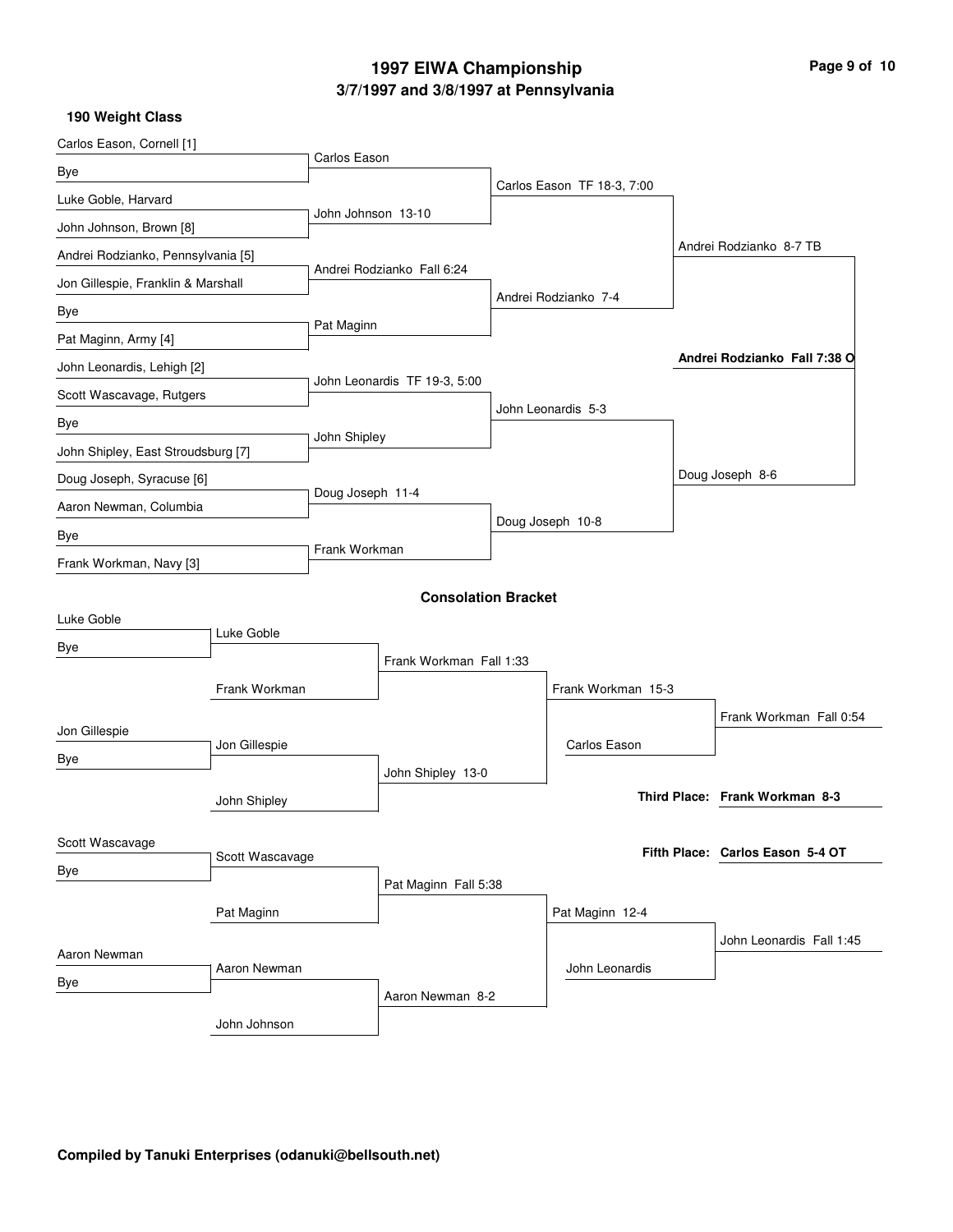# **3/7/1997 and 3/8/1997 at Pennsylvania 1997 EIWA Championship Page 9 of 10**

| Carlos Eason, Cornell [1]          |                 |                    |                              |                 |                            |                         |                                  |
|------------------------------------|-----------------|--------------------|------------------------------|-----------------|----------------------------|-------------------------|----------------------------------|
| Bye                                |                 | Carlos Eason       |                              |                 |                            |                         |                                  |
| Luke Goble, Harvard                |                 |                    |                              |                 | Carlos Eason TF 18-3, 7:00 |                         |                                  |
| John Johnson, Brown [8]            |                 | John Johnson 13-10 |                              |                 |                            |                         |                                  |
| Andrei Rodzianko, Pennsylvania [5] |                 |                    |                              |                 |                            |                         | Andrei Rodzianko 8-7 TB          |
| Jon Gillespie, Franklin & Marshall |                 |                    | Andrei Rodzianko Fall 6:24   |                 | Andrei Rodzianko 7-4       |                         |                                  |
| Bye                                |                 |                    |                              |                 |                            |                         |                                  |
| Pat Maginn, Army [4]               |                 | Pat Maginn         |                              |                 |                            |                         |                                  |
| John Leonardis, Lehigh [2]         |                 |                    |                              |                 |                            |                         | Andrei Rodzianko Fall 7:38 O     |
| Scott Wascavage, Rutgers           |                 |                    | John Leonardis TF 19-3, 5:00 |                 |                            |                         |                                  |
| Bye                                |                 |                    |                              |                 | John Leonardis 5-3         |                         |                                  |
| John Shipley, East Stroudsburg [7] |                 | John Shipley       |                              |                 |                            |                         |                                  |
| Doug Joseph, Syracuse [6]          |                 |                    |                              |                 |                            |                         | Doug Joseph 8-6                  |
| Aaron Newman, Columbia             |                 | Doug Joseph 11-4   |                              |                 | Doug Joseph 10-8           |                         |                                  |
| Bye                                |                 | Frank Workman      |                              |                 |                            |                         |                                  |
| Frank Workman, Navy [3]            |                 |                    |                              |                 |                            |                         |                                  |
|                                    |                 |                    | <b>Consolation Bracket</b>   |                 |                            |                         |                                  |
| Luke Goble                         | Luke Goble      |                    |                              |                 |                            |                         |                                  |
| Bye                                |                 |                    | Frank Workman Fall 1:33      |                 |                            |                         |                                  |
|                                    | Frank Workman   |                    |                              |                 | Frank Workman 15-3         |                         |                                  |
|                                    |                 |                    |                              |                 |                            | Frank Workman Fall 0:54 |                                  |
| Jon Gillespie                      |                 |                    |                              |                 | Carlos Eason               |                         |                                  |
| Bye                                | Jon Gillespie   |                    | John Shipley 13-0            |                 |                            |                         |                                  |
|                                    | John Shipley    |                    |                              |                 |                            |                         | Third Place: Frank Workman 8-3   |
|                                    |                 |                    |                              |                 |                            |                         |                                  |
| Scott Wascavage                    | Scott Wascavage |                    |                              |                 |                            |                         | Fifth Place: Carlos Eason 5-4 OT |
| Bye                                |                 |                    | Pat Maginn Fall 5:38         |                 |                            |                         |                                  |
|                                    |                 |                    |                              | Pat Maginn 12-4 |                            |                         |                                  |
|                                    | Pat Maginn      |                    |                              |                 |                            |                         | John Leonardis Fall 1:45         |
| Aaron Newman                       |                 |                    |                              |                 | John Leonardis             |                         |                                  |
| Bye                                | Aaron Newman    |                    | Aaron Newman 8-2             |                 |                            |                         |                                  |
|                                    |                 |                    |                              |                 |                            |                         |                                  |
|                                    | John Johnson    |                    |                              |                 |                            |                         |                                  |